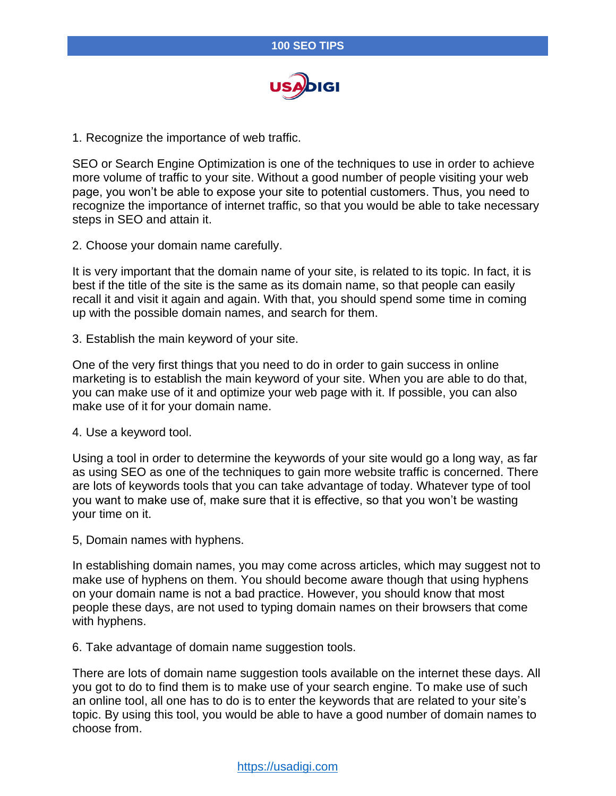

1. Recognize the importance of web traffic.

SEO or Search Engine Optimization is one of the techniques to use in order to achieve more volume of traffic to your site. Without a good number of people visiting your web page, you won't be able to expose your site to potential customers. Thus, you need to recognize the importance of internet traffic, so that you would be able to take necessary steps in SEO and attain it.

2. Choose your domain name carefully.

It is very important that the domain name of your site, is related to its topic. In fact, it is best if the title of the site is the same as its domain name, so that people can easily recall it and visit it again and again. With that, you should spend some time in coming up with the possible domain names, and search for them.

3. Establish the main keyword of your site.

One of the very first things that you need to do in order to gain success in online marketing is to establish the main keyword of your site. When you are able to do that, you can make use of it and optimize your web page with it. If possible, you can also make use of it for your domain name.

4. Use a keyword tool.

Using a tool in order to determine the keywords of your site would go a long way, as far as using SEO as one of the techniques to gain more website traffic is concerned. There are lots of keywords tools that you can take advantage of today. Whatever type of tool you want to make use of, make sure that it is effective, so that you won't be wasting your time on it.

5, Domain names with hyphens.

In establishing domain names, you may come across articles, which may suggest not to make use of hyphens on them. You should become aware though that using hyphens on your domain name is not a bad practice. However, you should know that most people these days, are not used to typing domain names on their browsers that come with hyphens.

6. Take advantage of domain name suggestion tools.

There are lots of domain name suggestion tools available on the internet these days. All you got to do to find them is to make use of your search engine. To make use of such an online tool, all one has to do is to enter the keywords that are related to your site's topic. By using this tool, you would be able to have a good number of domain names to choose from.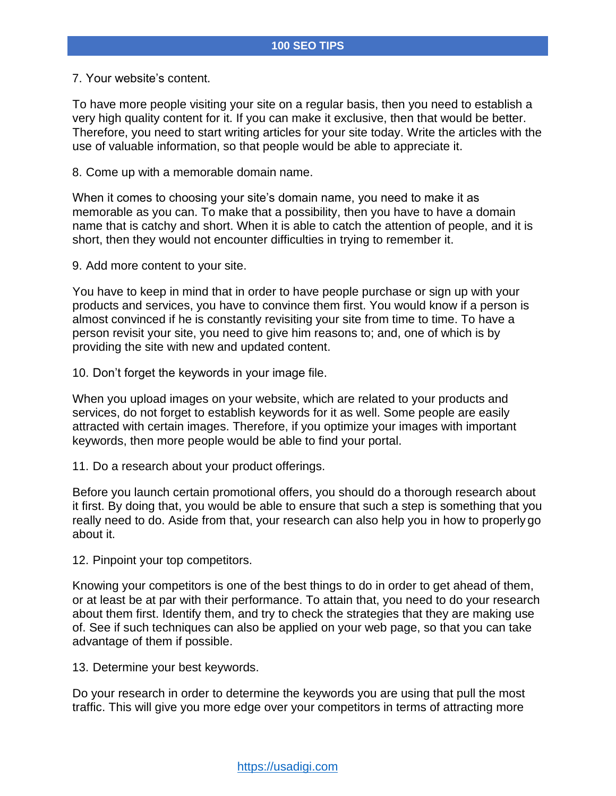7. Your website's content.

To have more people visiting your site on a regular basis, then you need to establish a very high quality content for it. If you can make it exclusive, then that would be better. Therefore, you need to start writing articles for your site today. Write the articles with the use of valuable information, so that people would be able to appreciate it.

8. Come up with a memorable domain name.

When it comes to choosing your site's domain name, you need to make it as memorable as you can. To make that a possibility, then you have to have a domain name that is catchy and short. When it is able to catch the attention of people, and it is short, then they would not encounter difficulties in trying to remember it.

9. Add more content to your site.

You have to keep in mind that in order to have people purchase or sign up with your products and services, you have to convince them first. You would know if a person is almost convinced if he is constantly revisiting your site from time to time. To have a person revisit your site, you need to give him reasons to; and, one of which is by providing the site with new and updated content.

10. Don't forget the keywords in your image file.

When you upload images on your website, which are related to your products and services, do not forget to establish keywords for it as well. Some people are easily attracted with certain images. Therefore, if you optimize your images with important keywords, then more people would be able to find your portal.

11. Do a research about your product offerings.

Before you launch certain promotional offers, you should do a thorough research about it first. By doing that, you would be able to ensure that such a step is something that you really need to do. Aside from that, your research can also help you in how to properly go about it.

12. Pinpoint your top competitors.

Knowing your competitors is one of the best things to do in order to get ahead of them, or at least be at par with their performance. To attain that, you need to do your research about them first. Identify them, and try to check the strategies that they are making use of. See if such techniques can also be applied on your web page, so that you can take advantage of them if possible.

13. Determine your best keywords.

Do your research in order to determine the keywords you are using that pull the most traffic. This will give you more edge over your competitors in terms of attracting more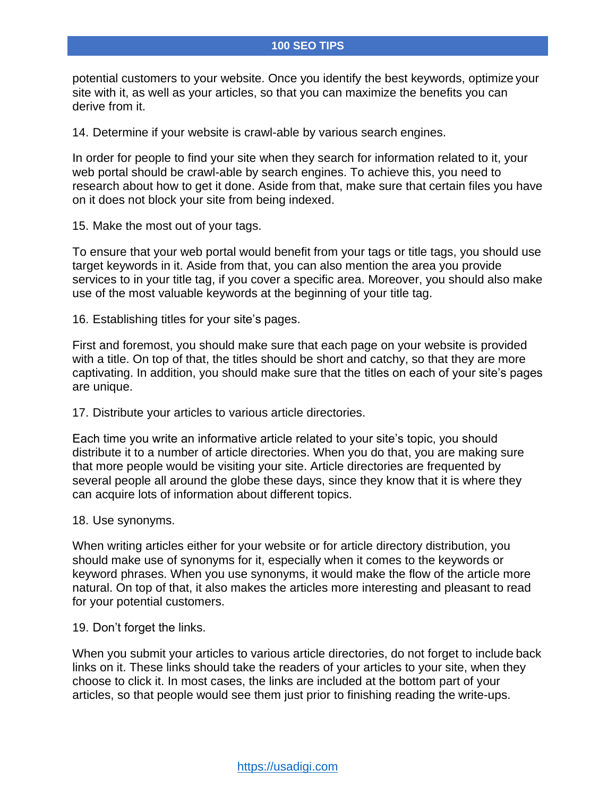potential customers to your website. Once you identify the best keywords, optimize your site with it, as well as your articles, so that you can maximize the benefits you can derive from it.

14. Determine if your website is crawl-able by various search engines.

In order for people to find your site when they search for information related to it, your web portal should be crawl-able by search engines. To achieve this, you need to research about how to get it done. Aside from that, make sure that certain files you have on it does not block your site from being indexed.

15. Make the most out of your tags.

To ensure that your web portal would benefit from your tags or title tags, you should use target keywords in it. Aside from that, you can also mention the area you provide services to in your title tag, if you cover a specific area. Moreover, you should also make use of the most valuable keywords at the beginning of your title tag.

16. Establishing titles for your site's pages.

First and foremost, you should make sure that each page on your website is provided with a title. On top of that, the titles should be short and catchy, so that they are more captivating. In addition, you should make sure that the titles on each of your site's pages are unique.

17. Distribute your articles to various article directories.

Each time you write an informative article related to your site's topic, you should distribute it to a number of article directories. When you do that, you are making sure that more people would be visiting your site. Article directories are frequented by several people all around the globe these days, since they know that it is where they can acquire lots of information about different topics.

18. Use synonyms.

When writing articles either for your website or for article directory distribution, you should make use of synonyms for it, especially when it comes to the keywords or keyword phrases. When you use synonyms, it would make the flow of the article more natural. On top of that, it also makes the articles more interesting and pleasant to read for your potential customers.

### 19. Don't forget the links.

When you submit your articles to various article directories, do not forget to include back links on it. These links should take the readers of your articles to your site, when they choose to click it. In most cases, the links are included at the bottom part of your articles, so that people would see them just prior to finishing reading the write-ups.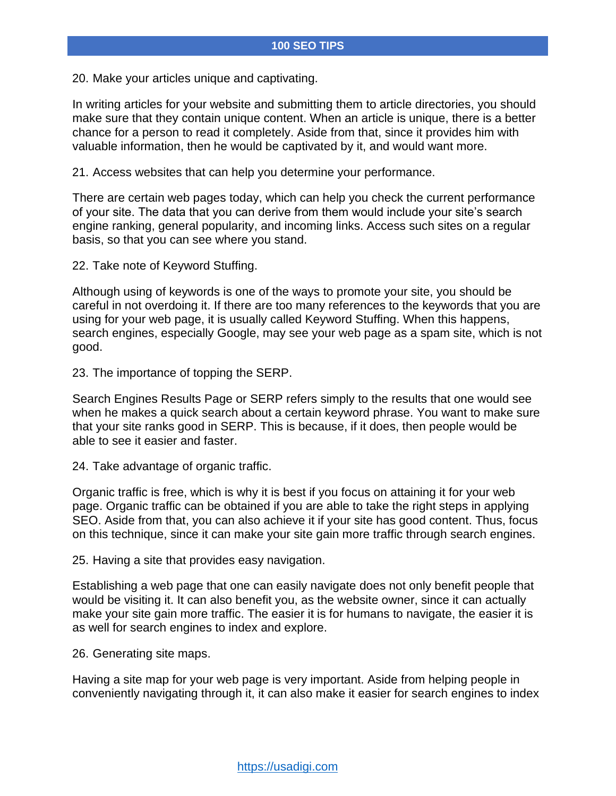20. Make your articles unique and captivating.

In writing articles for your website and submitting them to article directories, you should make sure that they contain unique content. When an article is unique, there is a better chance for a person to read it completely. Aside from that, since it provides him with valuable information, then he would be captivated by it, and would want more.

21. Access websites that can help you determine your performance.

There are certain web pages today, which can help you check the current performance of your site. The data that you can derive from them would include your site's search engine ranking, general popularity, and incoming links. Access such sites on a regular basis, so that you can see where you stand.

22. Take note of Keyword Stuffing.

Although using of keywords is one of the ways to promote your site, you should be careful in not overdoing it. If there are too many references to the keywords that you are using for your web page, it is usually called Keyword Stuffing. When this happens, search engines, especially Google, may see your web page as a spam site, which is not good.

23. The importance of topping the SERP.

Search Engines Results Page or SERP refers simply to the results that one would see when he makes a quick search about a certain keyword phrase. You want to make sure that your site ranks good in SERP. This is because, if it does, then people would be able to see it easier and faster.

24. Take advantage of organic traffic.

Organic traffic is free, which is why it is best if you focus on attaining it for your web page. Organic traffic can be obtained if you are able to take the right steps in applying SEO. Aside from that, you can also achieve it if your site has good content. Thus, focus on this technique, since it can make your site gain more traffic through search engines.

25. Having a site that provides easy navigation.

Establishing a web page that one can easily navigate does not only benefit people that would be visiting it. It can also benefit you, as the website owner, since it can actually make your site gain more traffic. The easier it is for humans to navigate, the easier it is as well for search engines to index and explore.

26. Generating site maps.

Having a site map for your web page is very important. Aside from helping people in conveniently navigating through it, it can also make it easier for search engines to index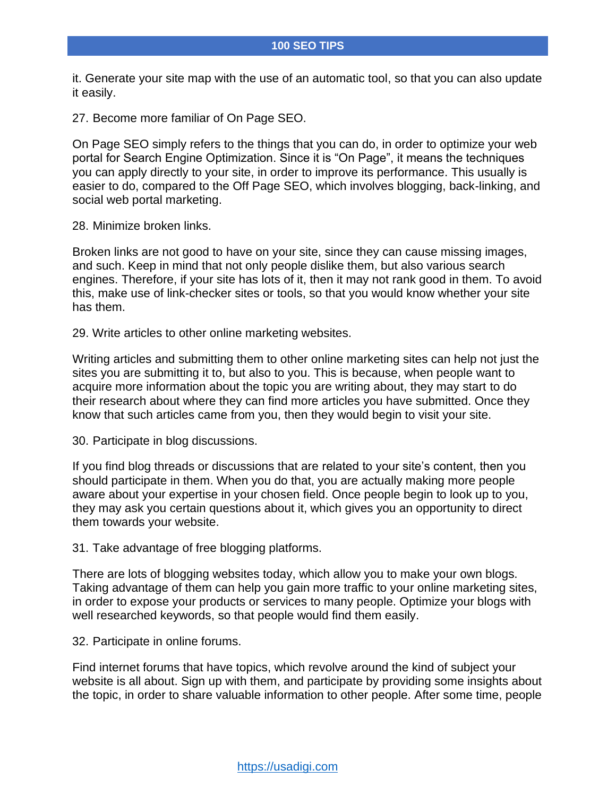it. Generate your site map with the use of an automatic tool, so that you can also update it easily.

27. Become more familiar of On Page SEO.

On Page SEO simply refers to the things that you can do, in order to optimize your web portal for Search Engine Optimization. Since it is "On Page", it means the techniques you can apply directly to your site, in order to improve its performance. This usually is easier to do, compared to the Off Page SEO, which involves blogging, back-linking, and social web portal marketing.

28. Minimize broken links.

Broken links are not good to have on your site, since they can cause missing images, and such. Keep in mind that not only people dislike them, but also various search engines. Therefore, if your site has lots of it, then it may not rank good in them. To avoid this, make use of link-checker sites or tools, so that you would know whether your site has them.

29. Write articles to other online marketing websites.

Writing articles and submitting them to other online marketing sites can help not just the sites you are submitting it to, but also to you. This is because, when people want to acquire more information about the topic you are writing about, they may start to do their research about where they can find more articles you have submitted. Once they know that such articles came from you, then they would begin to visit your site.

30. Participate in blog discussions.

If you find blog threads or discussions that are related to your site's content, then you should participate in them. When you do that, you are actually making more people aware about your expertise in your chosen field. Once people begin to look up to you, they may ask you certain questions about it, which gives you an opportunity to direct them towards your website.

31. Take advantage of free blogging platforms.

There are lots of blogging websites today, which allow you to make your own blogs. Taking advantage of them can help you gain more traffic to your online marketing sites, in order to expose your products or services to many people. Optimize your blogs with well researched keywords, so that people would find them easily.

32. Participate in online forums.

Find internet forums that have topics, which revolve around the kind of subject your website is all about. Sign up with them, and participate by providing some insights about the topic, in order to share valuable information to other people. After some time, people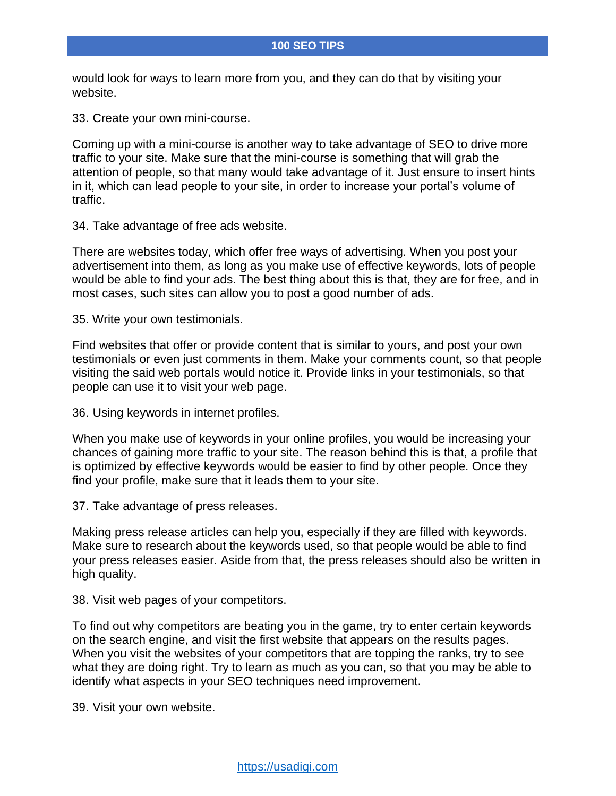would look for ways to learn more from you, and they can do that by visiting your website.

33. Create your own mini-course.

Coming up with a mini-course is another way to take advantage of SEO to drive more traffic to your site. Make sure that the mini-course is something that will grab the attention of people, so that many would take advantage of it. Just ensure to insert hints in it, which can lead people to your site, in order to increase your portal's volume of traffic.

34. Take advantage of free ads website.

There are websites today, which offer free ways of advertising. When you post your advertisement into them, as long as you make use of effective keywords, lots of people would be able to find your ads. The best thing about this is that, they are for free, and in most cases, such sites can allow you to post a good number of ads.

35. Write your own testimonials.

Find websites that offer or provide content that is similar to yours, and post your own testimonials or even just comments in them. Make your comments count, so that people visiting the said web portals would notice it. Provide links in your testimonials, so that people can use it to visit your web page.

36. Using keywords in internet profiles.

When you make use of keywords in your online profiles, you would be increasing your chances of gaining more traffic to your site. The reason behind this is that, a profile that is optimized by effective keywords would be easier to find by other people. Once they find your profile, make sure that it leads them to your site.

37. Take advantage of press releases.

Making press release articles can help you, especially if they are filled with keywords. Make sure to research about the keywords used, so that people would be able to find your press releases easier. Aside from that, the press releases should also be written in high quality.

38. Visit web pages of your competitors.

To find out why competitors are beating you in the game, try to enter certain keywords on the search engine, and visit the first website that appears on the results pages. When you visit the websites of your competitors that are topping the ranks, try to see what they are doing right. Try to learn as much as you can, so that you may be able to identify what aspects in your SEO techniques need improvement.

39. Visit your own website.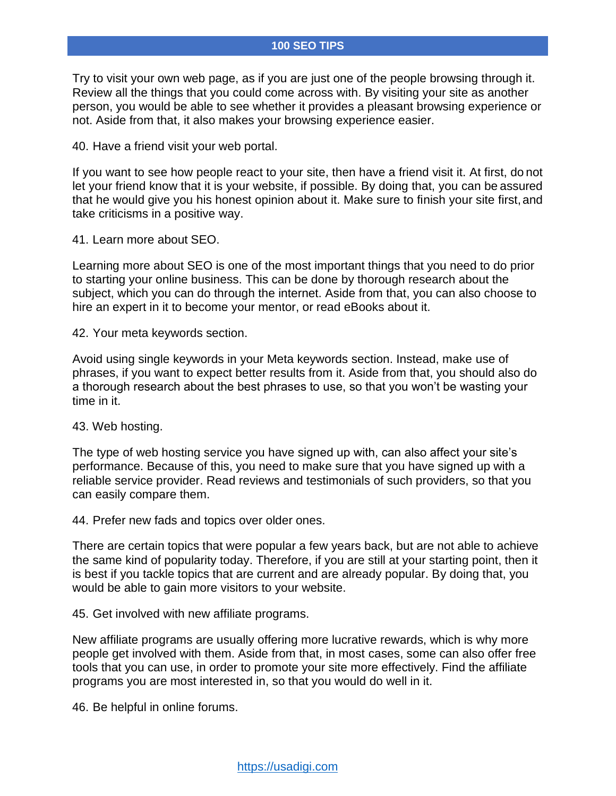Try to visit your own web page, as if you are just one of the people browsing through it. Review all the things that you could come across with. By visiting your site as another person, you would be able to see whether it provides a pleasant browsing experience or not. Aside from that, it also makes your browsing experience easier.

40. Have a friend visit your web portal.

If you want to see how people react to your site, then have a friend visit it. At first, do not let your friend know that it is your website, if possible. By doing that, you can be assured that he would give you his honest opinion about it. Make sure to finish your site first, and take criticisms in a positive way.

41. Learn more about SEO.

Learning more about SEO is one of the most important things that you need to do prior to starting your online business. This can be done by thorough research about the subject, which you can do through the internet. Aside from that, you can also choose to hire an expert in it to become your mentor, or read eBooks about it.

42. Your meta keywords section.

Avoid using single keywords in your Meta keywords section. Instead, make use of phrases, if you want to expect better results from it. Aside from that, you should also do a thorough research about the best phrases to use, so that you won't be wasting your time in it.

### 43. Web hosting.

The type of web hosting service you have signed up with, can also affect your site's performance. Because of this, you need to make sure that you have signed up with a reliable service provider. Read reviews and testimonials of such providers, so that you can easily compare them.

44. Prefer new fads and topics over older ones.

There are certain topics that were popular a few years back, but are not able to achieve the same kind of popularity today. Therefore, if you are still at your starting point, then it is best if you tackle topics that are current and are already popular. By doing that, you would be able to gain more visitors to your website.

45. Get involved with new affiliate programs.

New affiliate programs are usually offering more lucrative rewards, which is why more people get involved with them. Aside from that, in most cases, some can also offer free tools that you can use, in order to promote your site more effectively. Find the affiliate programs you are most interested in, so that you would do well in it.

46. Be helpful in online forums.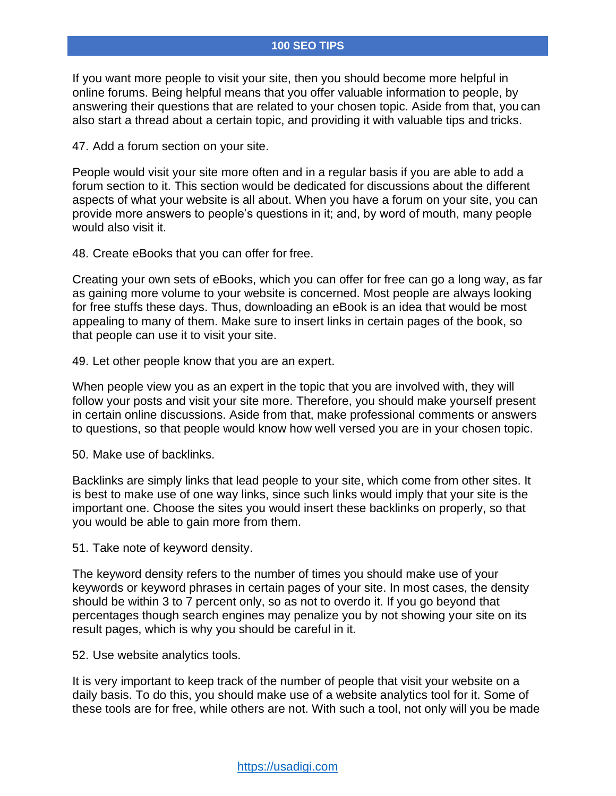If you want more people to visit your site, then you should become more helpful in online forums. Being helpful means that you offer valuable information to people, by answering their questions that are related to your chosen topic. Aside from that, you can also start a thread about a certain topic, and providing it with valuable tips and tricks.

47. Add a forum section on your site.

People would visit your site more often and in a regular basis if you are able to add a forum section to it. This section would be dedicated for discussions about the different aspects of what your website is all about. When you have a forum on your site, you can provide more answers to people's questions in it; and, by word of mouth, many people would also visit it.

48. Create eBooks that you can offer for free.

Creating your own sets of eBooks, which you can offer for free can go a long way, as far as gaining more volume to your website is concerned. Most people are always looking for free stuffs these days. Thus, downloading an eBook is an idea that would be most appealing to many of them. Make sure to insert links in certain pages of the book, so that people can use it to visit your site.

49. Let other people know that you are an expert.

When people view you as an expert in the topic that you are involved with, they will follow your posts and visit your site more. Therefore, you should make yourself present in certain online discussions. Aside from that, make professional comments or answers to questions, so that people would know how well versed you are in your chosen topic.

50. Make use of backlinks.

Backlinks are simply links that lead people to your site, which come from other sites. It is best to make use of one way links, since such links would imply that your site is the important one. Choose the sites you would insert these backlinks on properly, so that you would be able to gain more from them.

51. Take note of keyword density.

The keyword density refers to the number of times you should make use of your keywords or keyword phrases in certain pages of your site. In most cases, the density should be within 3 to 7 percent only, so as not to overdo it. If you go beyond that percentages though search engines may penalize you by not showing your site on its result pages, which is why you should be careful in it.

52. Use website analytics tools.

It is very important to keep track of the number of people that visit your website on a daily basis. To do this, you should make use of a website analytics tool for it. Some of these tools are for free, while others are not. With such a tool, not only will you be made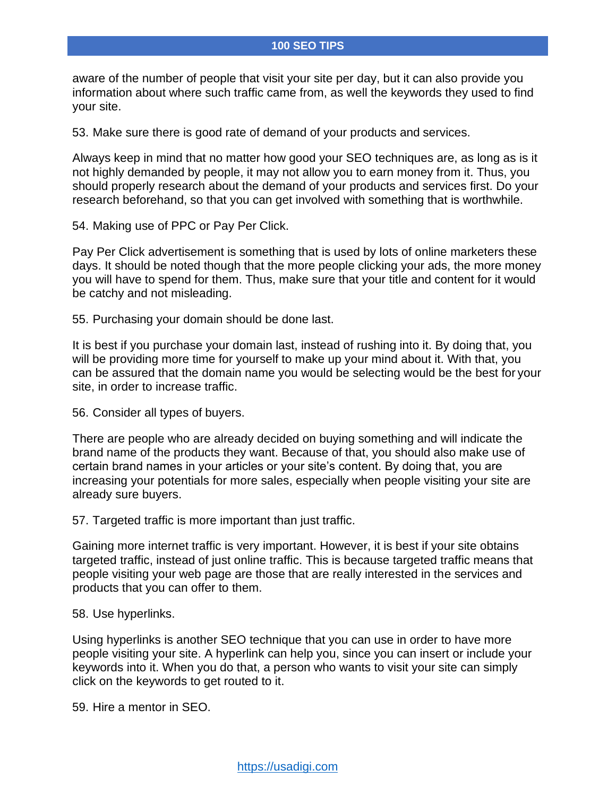aware of the number of people that visit your site per day, but it can also provide you information about where such traffic came from, as well the keywords they used to find your site.

53. Make sure there is good rate of demand of your products and services.

Always keep in mind that no matter how good your SEO techniques are, as long as is it not highly demanded by people, it may not allow you to earn money from it. Thus, you should properly research about the demand of your products and services first. Do your research beforehand, so that you can get involved with something that is worthwhile.

54. Making use of PPC or Pay Per Click.

Pay Per Click advertisement is something that is used by lots of online marketers these days. It should be noted though that the more people clicking your ads, the more money you will have to spend for them. Thus, make sure that your title and content for it would be catchy and not misleading.

55. Purchasing your domain should be done last.

It is best if you purchase your domain last, instead of rushing into it. By doing that, you will be providing more time for yourself to make up your mind about it. With that, you can be assured that the domain name you would be selecting would be the best for your site, in order to increase traffic.

56. Consider all types of buyers.

There are people who are already decided on buying something and will indicate the brand name of the products they want. Because of that, you should also make use of certain brand names in your articles or your site's content. By doing that, you are increasing your potentials for more sales, especially when people visiting your site are already sure buyers.

57. Targeted traffic is more important than just traffic.

Gaining more internet traffic is very important. However, it is best if your site obtains targeted traffic, instead of just online traffic. This is because targeted traffic means that people visiting your web page are those that are really interested in the services and products that you can offer to them.

58. Use hyperlinks.

Using hyperlinks is another SEO technique that you can use in order to have more people visiting your site. A hyperlink can help you, since you can insert or include your keywords into it. When you do that, a person who wants to visit your site can simply click on the keywords to get routed to it.

59. Hire a mentor in SEO.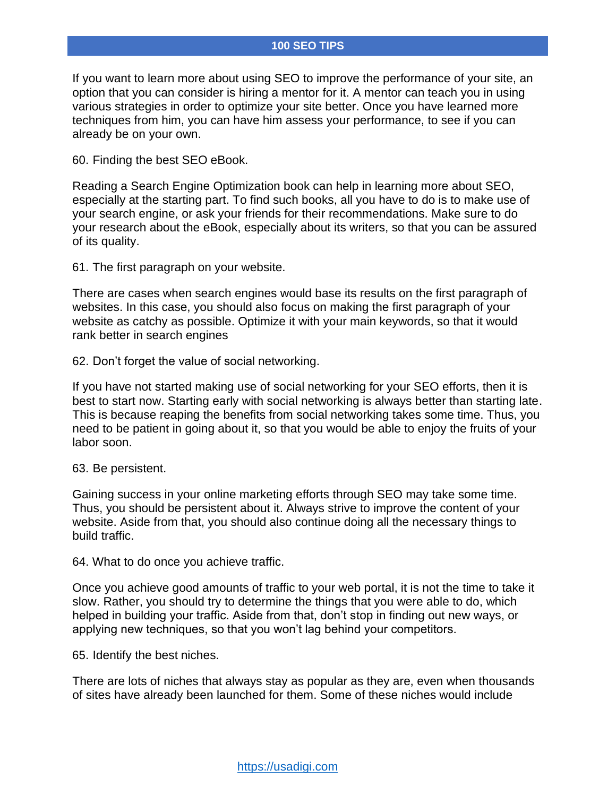If you want to learn more about using SEO to improve the performance of your site, an option that you can consider is hiring a mentor for it. A mentor can teach you in using various strategies in order to optimize your site better. Once you have learned more techniques from him, you can have him assess your performance, to see if you can already be on your own.

60. Finding the best SEO eBook.

Reading a Search Engine Optimization book can help in learning more about SEO, especially at the starting part. To find such books, all you have to do is to make use of your search engine, or ask your friends for their recommendations. Make sure to do your research about the eBook, especially about its writers, so that you can be assured of its quality.

61. The first paragraph on your website.

There are cases when search engines would base its results on the first paragraph of websites. In this case, you should also focus on making the first paragraph of your website as catchy as possible. Optimize it with your main keywords, so that it would rank better in search engines

62. Don't forget the value of social networking.

If you have not started making use of social networking for your SEO efforts, then it is best to start now. Starting early with social networking is always better than starting late. This is because reaping the benefits from social networking takes some time. Thus, you need to be patient in going about it, so that you would be able to enjoy the fruits of your labor soon.

### 63. Be persistent.

Gaining success in your online marketing efforts through SEO may take some time. Thus, you should be persistent about it. Always strive to improve the content of your website. Aside from that, you should also continue doing all the necessary things to build traffic.

64. What to do once you achieve traffic.

Once you achieve good amounts of traffic to your web portal, it is not the time to take it slow. Rather, you should try to determine the things that you were able to do, which helped in building your traffic. Aside from that, don't stop in finding out new ways, or applying new techniques, so that you won't lag behind your competitors.

65. Identify the best niches.

There are lots of niches that always stay as popular as they are, even when thousands of sites have already been launched for them. Some of these niches would include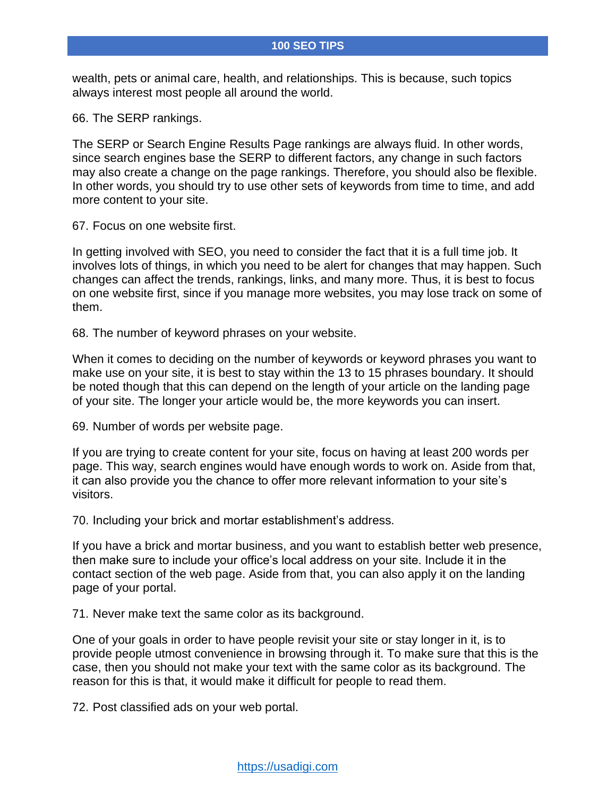wealth, pets or animal care, health, and relationships. This is because, such topics always interest most people all around the world.

66. The SERP rankings.

The SERP or Search Engine Results Page rankings are always fluid. In other words, since search engines base the SERP to different factors, any change in such factors may also create a change on the page rankings. Therefore, you should also be flexible. In other words, you should try to use other sets of keywords from time to time, and add more content to your site.

67. Focus on one website first.

In getting involved with SEO, you need to consider the fact that it is a full time job. It involves lots of things, in which you need to be alert for changes that may happen. Such changes can affect the trends, rankings, links, and many more. Thus, it is best to focus on one website first, since if you manage more websites, you may lose track on some of them.

68. The number of keyword phrases on your website.

When it comes to deciding on the number of keywords or keyword phrases you want to make use on your site, it is best to stay within the 13 to 15 phrases boundary. It should be noted though that this can depend on the length of your article on the landing page of your site. The longer your article would be, the more keywords you can insert.

69. Number of words per website page.

If you are trying to create content for your site, focus on having at least 200 words per page. This way, search engines would have enough words to work on. Aside from that, it can also provide you the chance to offer more relevant information to your site's visitors.

70. Including your brick and mortar establishment's address.

If you have a brick and mortar business, and you want to establish better web presence, then make sure to include your office's local address on your site. Include it in the contact section of the web page. Aside from that, you can also apply it on the landing page of your portal.

71. Never make text the same color as its background.

One of your goals in order to have people revisit your site or stay longer in it, is to provide people utmost convenience in browsing through it. To make sure that this is the case, then you should not make your text with the same color as its background. The reason for this is that, it would make it difficult for people to read them.

72. Post classified ads on your web portal.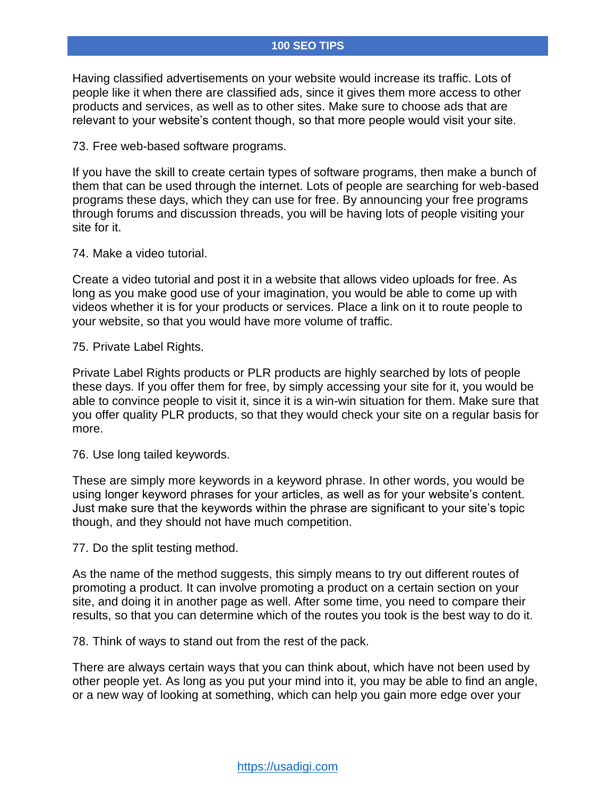Having classified advertisements on your website would increase its traffic. Lots of people like it when there are classified ads, since it gives them more access to other products and services, as well as to other sites. Make sure to choose ads that are relevant to your website's content though, so that more people would visit your site.

73. Free web-based software programs.

If you have the skill to create certain types of software programs, then make a bunch of them that can be used through the internet. Lots of people are searching for web-based programs these days, which they can use for free. By announcing your free programs through forums and discussion threads, you will be having lots of people visiting your site for it.

### 74. Make a video tutorial.

Create a video tutorial and post it in a website that allows video uploads for free. As long as you make good use of your imagination, you would be able to come up with videos whether it is for your products or services. Place a link on it to route people to your website, so that you would have more volume of traffic.

75. Private Label Rights.

Private Label Rights products or PLR products are highly searched by lots of people these days. If you offer them for free, by simply accessing your site for it, you would be able to convince people to visit it, since it is a win-win situation for them. Make sure that you offer quality PLR products, so that they would check your site on a regular basis for more.

76. Use long tailed keywords.

These are simply more keywords in a keyword phrase. In other words, you would be using longer keyword phrases for your articles, as well as for your website's content. Just make sure that the keywords within the phrase are significant to your site's topic though, and they should not have much competition.

77. Do the split testing method.

As the name of the method suggests, this simply means to try out different routes of promoting a product. It can involve promoting a product on a certain section on your site, and doing it in another page as well. After some time, you need to compare their results, so that you can determine which of the routes you took is the best way to do it.

78. Think of ways to stand out from the rest of the pack.

There are always certain ways that you can think about, which have not been used by other people yet. As long as you put your mind into it, you may be able to find an angle, or a new way of looking at something, which can help you gain more edge over your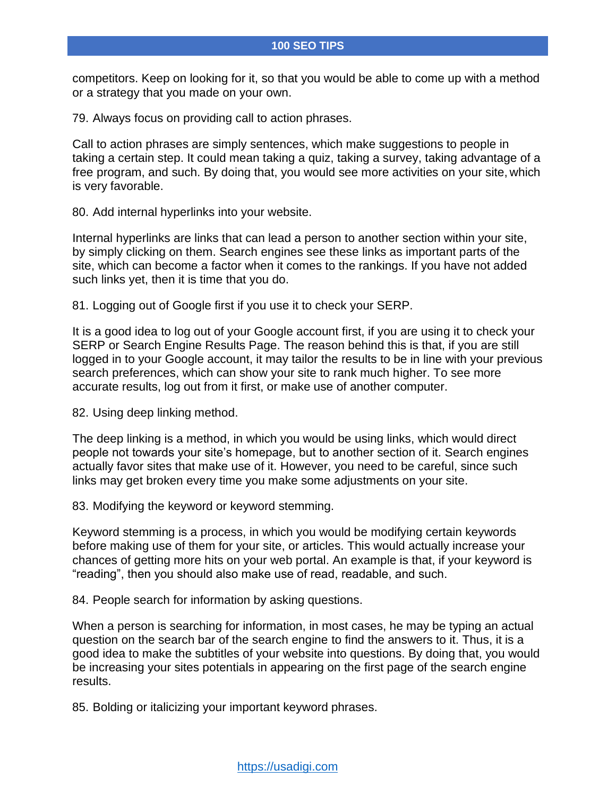competitors. Keep on looking for it, so that you would be able to come up with a method or a strategy that you made on your own.

79. Always focus on providing call to action phrases.

Call to action phrases are simply sentences, which make suggestions to people in taking a certain step. It could mean taking a quiz, taking a survey, taking advantage of a free program, and such. By doing that, you would see more activities on your site, which is very favorable.

80. Add internal hyperlinks into your website.

Internal hyperlinks are links that can lead a person to another section within your site, by simply clicking on them. Search engines see these links as important parts of the site, which can become a factor when it comes to the rankings. If you have not added such links yet, then it is time that you do.

81. Logging out of Google first if you use it to check your SERP.

It is a good idea to log out of your Google account first, if you are using it to check your SERP or Search Engine Results Page. The reason behind this is that, if you are still logged in to your Google account, it may tailor the results to be in line with your previous search preferences, which can show your site to rank much higher. To see more accurate results, log out from it first, or make use of another computer.

82. Using deep linking method.

The deep linking is a method, in which you would be using links, which would direct people not towards your site's homepage, but to another section of it. Search engines actually favor sites that make use of it. However, you need to be careful, since such links may get broken every time you make some adjustments on your site.

83. Modifying the keyword or keyword stemming.

Keyword stemming is a process, in which you would be modifying certain keywords before making use of them for your site, or articles. This would actually increase your chances of getting more hits on your web portal. An example is that, if your keyword is "reading", then you should also make use of read, readable, and such.

84. People search for information by asking questions.

When a person is searching for information, in most cases, he may be typing an actual question on the search bar of the search engine to find the answers to it. Thus, it is a good idea to make the subtitles of your website into questions. By doing that, you would be increasing your sites potentials in appearing on the first page of the search engine results.

85. Bolding or italicizing your important keyword phrases.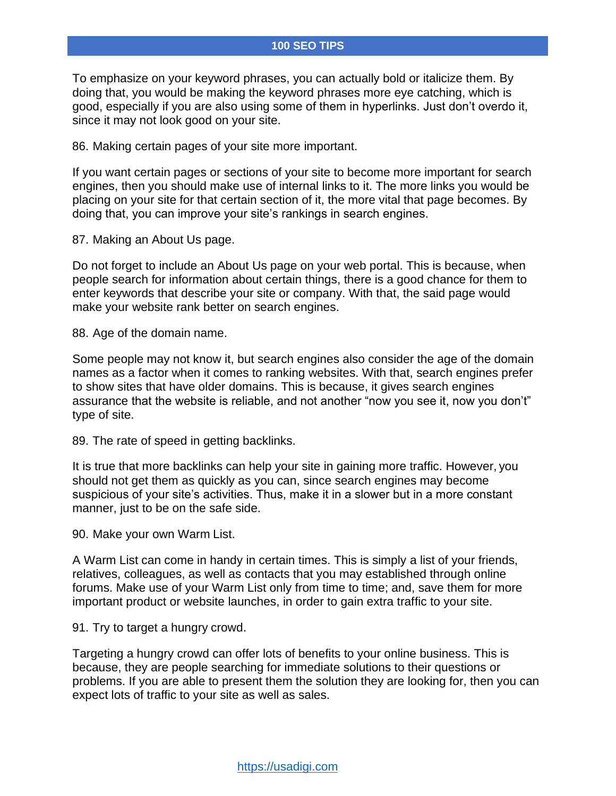To emphasize on your keyword phrases, you can actually bold or italicize them. By doing that, you would be making the keyword phrases more eye catching, which is good, especially if you are also using some of them in hyperlinks. Just don't overdo it, since it may not look good on your site.

86. Making certain pages of your site more important.

If you want certain pages or sections of your site to become more important for search engines, then you should make use of internal links to it. The more links you would be placing on your site for that certain section of it, the more vital that page becomes. By doing that, you can improve your site's rankings in search engines.

87. Making an About Us page.

Do not forget to include an About Us page on your web portal. This is because, when people search for information about certain things, there is a good chance for them to enter keywords that describe your site or company. With that, the said page would make your website rank better on search engines.

88. Age of the domain name.

Some people may not know it, but search engines also consider the age of the domain names as a factor when it comes to ranking websites. With that, search engines prefer to show sites that have older domains. This is because, it gives search engines assurance that the website is reliable, and not another "now you see it, now you don't" type of site.

89. The rate of speed in getting backlinks.

It is true that more backlinks can help your site in gaining more traffic. However, you should not get them as quickly as you can, since search engines may become suspicious of your site's activities. Thus, make it in a slower but in a more constant manner, just to be on the safe side.

90. Make your own Warm List.

A Warm List can come in handy in certain times. This is simply a list of your friends, relatives, colleagues, as well as contacts that you may established through online forums. Make use of your Warm List only from time to time; and, save them for more important product or website launches, in order to gain extra traffic to your site.

91. Try to target a hungry crowd.

Targeting a hungry crowd can offer lots of benefits to your online business. This is because, they are people searching for immediate solutions to their questions or problems. If you are able to present them the solution they are looking for, then you can expect lots of traffic to your site as well as sales.

[https://usadigi.com](https://usadigi.com/)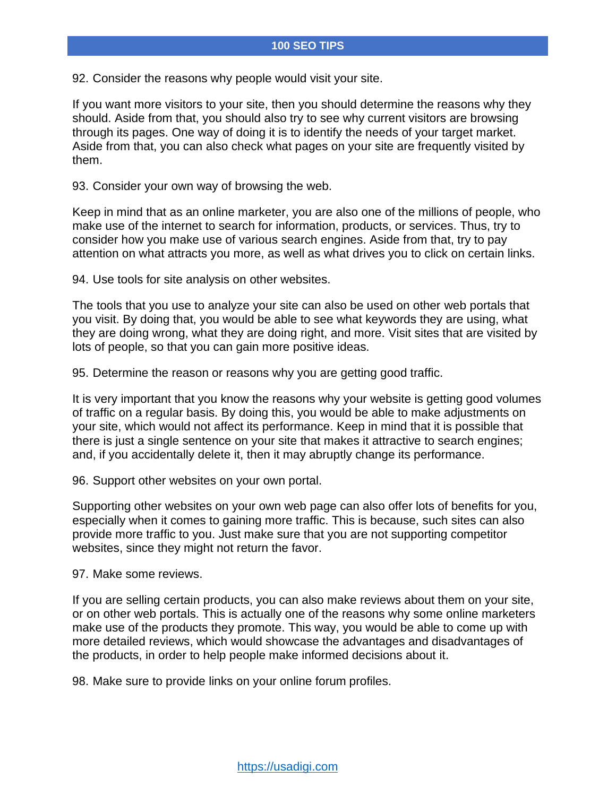92. Consider the reasons why people would visit your site.

If you want more visitors to your site, then you should determine the reasons why they should. Aside from that, you should also try to see why current visitors are browsing through its pages. One way of doing it is to identify the needs of your target market. Aside from that, you can also check what pages on your site are frequently visited by them.

93. Consider your own way of browsing the web.

Keep in mind that as an online marketer, you are also one of the millions of people, who make use of the internet to search for information, products, or services. Thus, try to consider how you make use of various search engines. Aside from that, try to pay attention on what attracts you more, as well as what drives you to click on certain links.

94. Use tools for site analysis on other websites.

The tools that you use to analyze your site can also be used on other web portals that you visit. By doing that, you would be able to see what keywords they are using, what they are doing wrong, what they are doing right, and more. Visit sites that are visited by lots of people, so that you can gain more positive ideas.

95. Determine the reason or reasons why you are getting good traffic.

It is very important that you know the reasons why your website is getting good volumes of traffic on a regular basis. By doing this, you would be able to make adjustments on your site, which would not affect its performance. Keep in mind that it is possible that there is just a single sentence on your site that makes it attractive to search engines; and, if you accidentally delete it, then it may abruptly change its performance.

96. Support other websites on your own portal.

Supporting other websites on your own web page can also offer lots of benefits for you, especially when it comes to gaining more traffic. This is because, such sites can also provide more traffic to you. Just make sure that you are not supporting competitor websites, since they might not return the favor.

97. Make some reviews.

If you are selling certain products, you can also make reviews about them on your site, or on other web portals. This is actually one of the reasons why some online marketers make use of the products they promote. This way, you would be able to come up with more detailed reviews, which would showcase the advantages and disadvantages of the products, in order to help people make informed decisions about it.

98. Make sure to provide links on your online forum profiles.